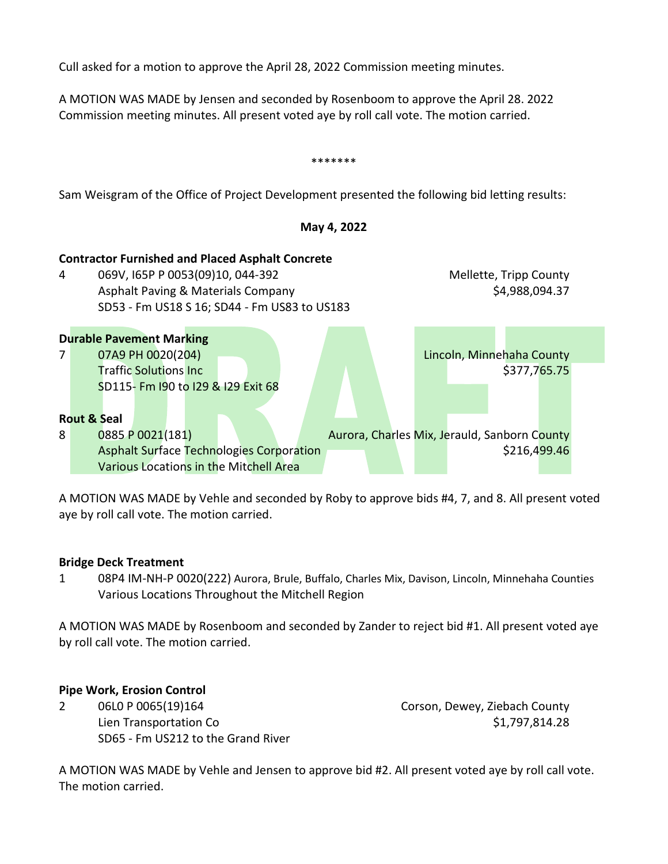Cull asked for a motion to approve the April 28, 2022 Commission meeting minutes.

A MOTION WAS MADE benserand seconded by Reenboomto approve the April 28. 2022 Commission meeting minutes. All present voted aye by roll call vote. The motion carried.



A MOTION WAS MADE by Vehle and seconded by Roby to approve bids #4, 7, and 8. All present voted aye by roll call vote. The motion carried.

Bridge Deck Treatment

1 08P4IM-NH-P 0020(222)Aurora, Brule, Buffalo, Charles Mix, Davison, Lindonim, ehahaCounties Various Locations Throughout the Mitchell Region

A MOTION WAS MADE by Rosenboom and seconded by Zander to reject bid #1. All present voted aye by roll call vote. The motion carried.

Pipe Work, Erosion Control

2 06L0P 0065(19)164 Corson, Dewey, ZiebaCounty Lien Transportation Co **\$1,797,814.28** SD65 Fm US212 to the Grand River

A MOTION WAS MADE by Vehle and Jensen to approve bid #2. All present voted aye by roll call vote. The motion carried.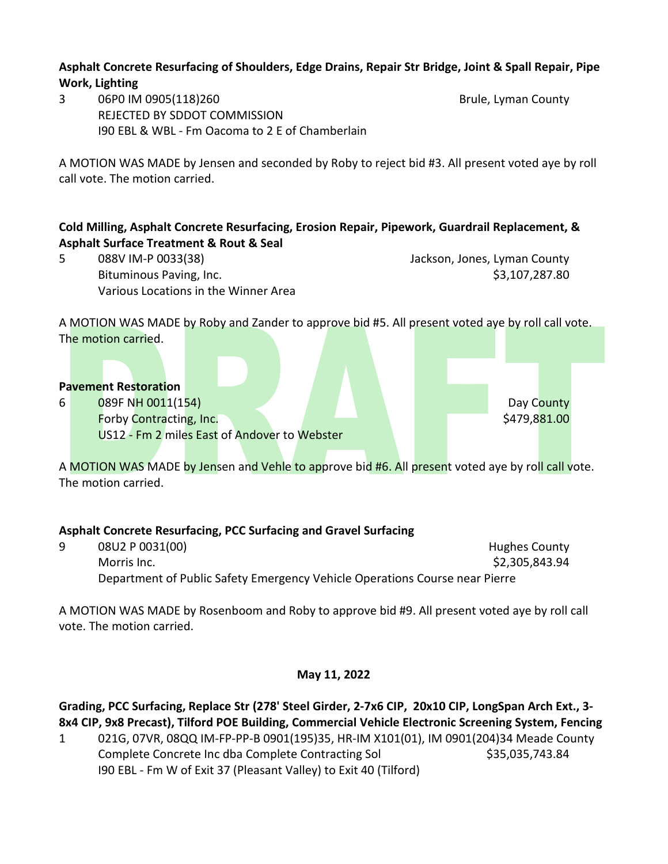### **Asphalt Concrete Resurfacing of Shoulders, Edge Drains, Repair Str Bridge, Joint & Spall Repair, Pipe Work, Lighting**

3 06P0 IM 0905(118)260 Brule, Lyman County REJECTED BY SDDOT COMMISSION I90 EBL & WBL - Fm Oacoma to 2 E of Chamberlain

A MOTION WAS MADE by Jensen and seconded by Roby to reject bid #3. All present voted aye by roll call vote. The motion carried.

# **Cold Milling, Asphalt Concrete Resurfacing, Erosion Repair, Pipework, Guardrail Replacement, & Asphalt Surface Treatment & Rout & Seal**

5 088V IM-P 0033(38) Jackson, Jones, Lyman County Bituminous Paving, Inc. **\$3,107,287.80** Various Locations in the Winner Area

A MOTION WAS MADE by Roby and Zander to approve bid #5. All present voted aye by roll call vote. The motion carried.

### **Pavement Restoration**

6 089F NH 0011(154) Day County Forby Contracting, Inc. **The Contraction of the Contraction of the Contraction of the Contraction** of the Contraction of the Contraction of the Contraction of the Contraction of the Contraction of the Contraction of the Co US12 - Fm 2 miles East of Andover to Webster

A MOTION WAS MADE by Jensen and Vehle to approve bid #6. All present voted aye by roll call vote. The motion carried.

## **Asphalt Concrete Resurfacing, PCC Surfacing and Gravel Surfacing**

9 08U2 P 0031(00) 12 D 20 D 20 D 20 Hughes County Morris Inc. \$2,305,843.94 Department of Public Safety Emergency Vehicle Operations Course near Pierre

A MOTION WAS MADE by Rosenboom and Roby to approve bid #9. All present voted aye by roll call vote. The motion carried.

## **May 11, 2022**

**Grading, PCC Surfacing, Replace Str (278' Steel Girder, 2-7x6 CIP, 20x10 CIP, LongSpan Arch Ext., 3- 8x4 CIP, 9x8 Precast), Tilford POE Building, Commercial Vehicle Electronic Screening System, Fencing**

1 021G, 07VR, 08QQ IM-FP-PP-B 0901(195)35, HR-IM X101(01), IM 0901(204)34 Meade County Complete Concrete Inc dba Complete Contracting Sol \$35,035,743.84 I90 EBL - Fm W of Exit 37 (Pleasant Valley) to Exit 40 (Tilford)